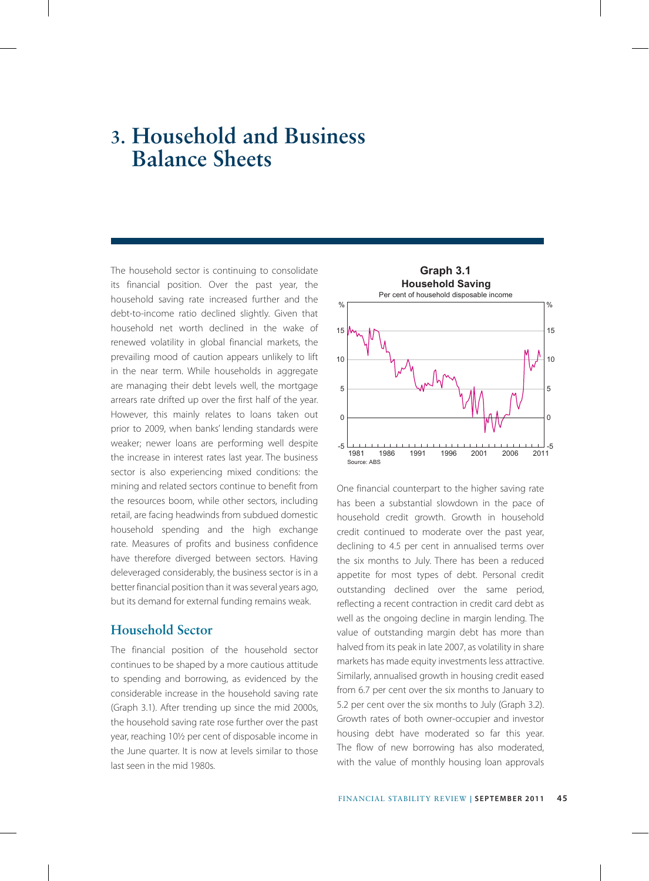## **3. Household and Business Balance Sheets**

The household sector is continuing to consolidate its financial position. Over the past year, the household saving rate increased further and the debt-to-income ratio declined slightly. Given that household net worth declined in the wake of renewed volatility in global financial markets, the prevailing mood of caution appears unlikely to lift in the near term. While households in aggregate are managing their debt levels well, the mortgage arrears rate drifted up over the first half of the year. However, this mainly relates to loans taken out prior to 2009, when banks' lending standards were weaker; newer loans are performing well despite the increase in interest rates last year. The business sector is also experiencing mixed conditions: the mining and related sectors continue to benefit from the resources boom, while other sectors, including retail, are facing headwinds from subdued domestic household spending and the high exchange rate. Measures of profits and business confidence have therefore diverged between sectors. Having deleveraged considerably, the business sector is in a better financial position than it was several years ago, but its demand for external funding remains weak.

## **Household Sector**

The financial position of the household sector continues to be shaped by a more cautious attitude to spending and borrowing, as evidenced by the considerable increase in the household saving rate (Graph 3.1). After trending up since the mid 2000s, the household saving rate rose further over the past year, reaching 10½ per cent of disposable income in the June quarter. It is now at levels similar to those last seen in the mid 1980s.



One financial counterpart to the higher saving rate has been a substantial slowdown in the pace of household credit growth. Growth in household credit continued to moderate over the past year, declining to 4.5 per cent in annualised terms over the six months to July. There has been a reduced appetite for most types of debt. Personal credit outstanding declined over the same period, reflecting a recent contraction in credit card debt as well as the ongoing decline in margin lending. The value of outstanding margin debt has more than halved from its peak in late 2007, as volatility in share markets has made equity investments less attractive. Similarly, annualised growth in housing credit eased from 6.7 per cent over the six months to January to 5.2 per cent over the six months to July (Graph 3.2). Growth rates of both owner-occupier and investor housing debt have moderated so far this year. The flow of new borrowing has also moderated, with the value of monthly housing loan approvals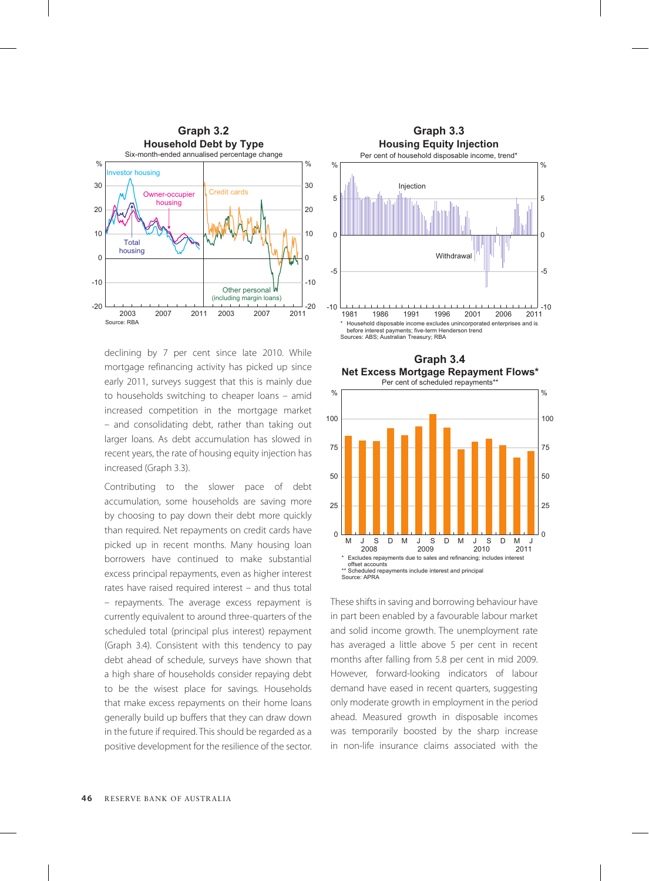

declining by 7 per cent since late 2010. While mortgage refinancing activity has picked up since early 2011, surveys suggest that this is mainly due to households switching to cheaper loans – amid increased competition in the mortgage market – and consolidating debt, rather than taking out larger loans. As debt accumulation has slowed in recent years, the rate of housing equity injection has increased (Graph 3.3).

Contributing to the slower pace of debt accumulation, some households are saving more by choosing to pay down their debt more quickly than required. Net repayments on credit cards have picked up in recent months. Many housing loan borrowers have continued to make substantial excess principal repayments, even as higher interest rates have raised required interest – and thus total – repayments. The average excess repayment is currently equivalent to around three-quarters of the scheduled total (principal plus interest) repayment (Graph 3.4). Consistent with this tendency to pay debt ahead of schedule, surveys have shown that a high share of households consider repaying debt to be the wisest place for savings. Households that make excess repayments on their home loans generally build up buffers that they can draw down in the future if required. This should be regarded as a positive development for the resilience of the sector.







These shifts in saving and borrowing behaviour have in part been enabled by a favourable labour market and solid income growth. The unemployment rate has averaged a little above 5 per cent in recent months after falling from 5.8 per cent in mid 2009. However, forward-looking indicators of labour demand have eased in recent quarters, suggesting only moderate growth in employment in the period ahead. Measured growth in disposable incomes was temporarily boosted by the sharp increase in non-life insurance claims associated with the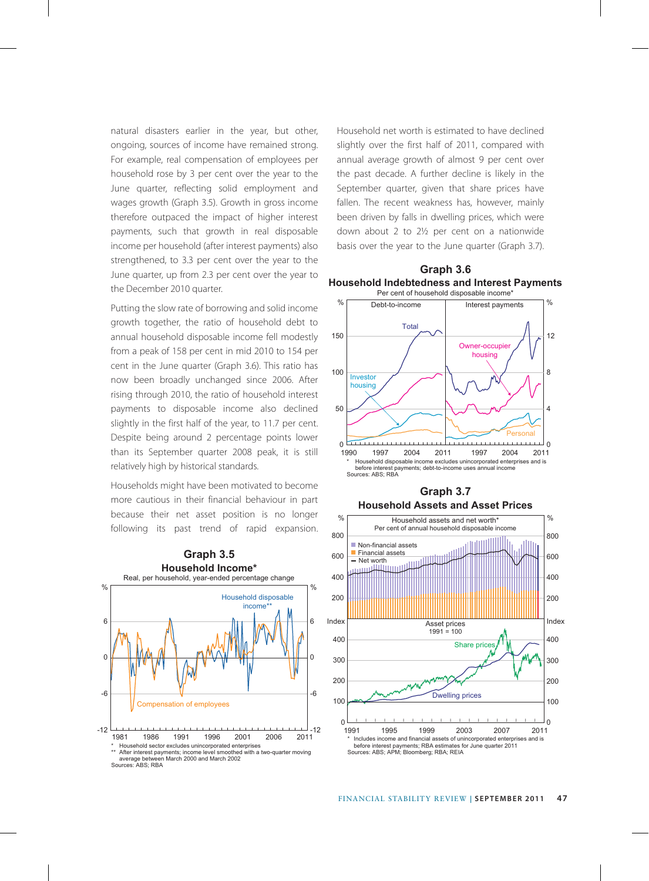natural disasters earlier in the year, but other, ongoing, sources of income have remained strong. For example, real compensation of employees per household rose by 3 per cent over the year to the June quarter, reflecting solid employment and wages growth (Graph 3.5). Growth in gross income therefore outpaced the impact of higher interest payments, such that growth in real disposable income per household (after interest payments) also strengthened, to 3.3 per cent over the year to the June quarter, up from 2.3 per cent over the year to the December 2010 quarter.

Putting the slow rate of borrowing and solid income growth together, the ratio of household debt to annual household disposable income fell modestly from a peak of 158 per cent in mid 2010 to 154 per cent in the June quarter (Graph 3.6). This ratio has now been broadly unchanged since 2006. After rising through 2010, the ratio of household interest payments to disposable income also declined slightly in the first half of the year, to 11.7 per cent. Despite being around 2 percentage points lower than its September quarter 2008 peak, it is still relatively high by historical standards.

Households might have been motivated to become more cautious in their financial behaviour in part because their net asset position is no longer following its past trend of rapid expansion.



Household net worth is estimated to have declined slightly over the first half of 2011, compared with annual average growth of almost 9 per cent over the past decade. A further decline is likely in the September quarter, given that share prices have fallen. The recent weakness has, however, mainly been driven by falls in dwelling prices, which were down about 2 to 2½ per cent on a nationwide basis over the year to the June quarter (Graph 3.7).





**Graph 3.7**

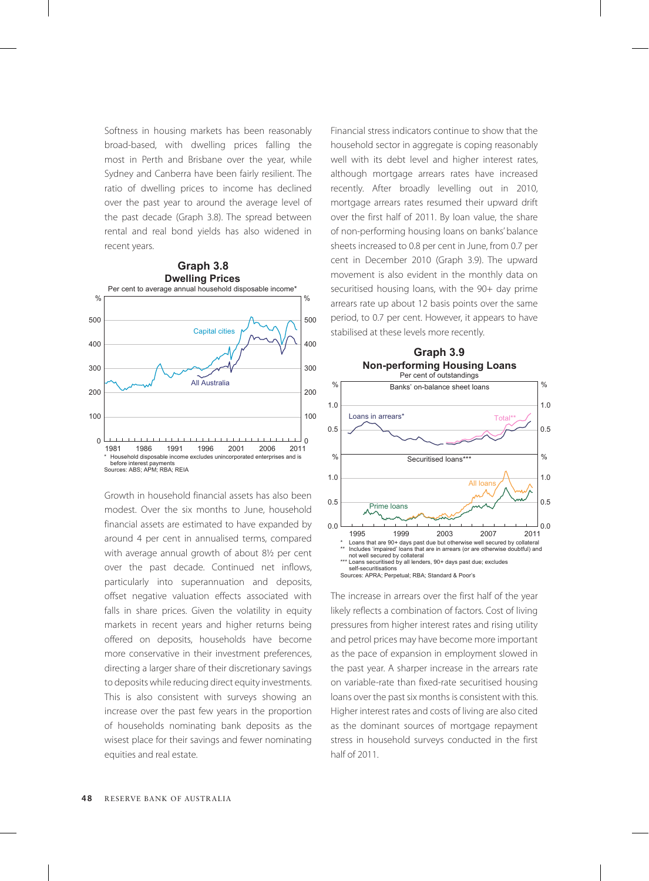Softness in housing markets has been reasonably broad-based, with dwelling prices falling the most in Perth and Brisbane over the year, while Sydney and Canberra have been fairly resilient. The ratio of dwelling prices to income has declined over the past year to around the average level of the past decade (Graph 3.8). The spread between rental and real bond yields has also widened in recent years.



Growth in household financial assets has also been modest. Over the six months to June, household financial assets are estimated to have expanded by around 4 per cent in annualised terms, compared with average annual growth of about 8½ per cent over the past decade. Continued net inflows, particularly into superannuation and deposits, offset negative valuation effects associated with falls in share prices. Given the volatility in equity markets in recent years and higher returns being offered on deposits, households have become more conservative in their investment preferences, directing a larger share of their discretionary savings to deposits while reducing direct equity investments. This is also consistent with surveys showing an increase over the past few years in the proportion of households nominating bank deposits as the wisest place for their savings and fewer nominating equities and real estate.

Financial stress indicators continue to show that the household sector in aggregate is coping reasonably well with its debt level and higher interest rates, although mortgage arrears rates have increased recently. After broadly levelling out in 2010, mortgage arrears rates resumed their upward drift over the first half of 2011. By loan value, the share of non-performing housing loans on banks' balance sheets increased to 0.8 per cent in June, from 0.7 per cent in December 2010 (Graph 3.9). The upward movement is also evident in the monthly data on securitised housing loans, with the 90+ day prime arrears rate up about 12 basis points over the same period, to 0.7 per cent. However, it appears to have stabilised at these levels more recently.



The increase in arrears over the first half of the year likely reflects a combination of factors. Cost of living pressures from higher interest rates and rising utility and petrol prices may have become more important as the pace of expansion in employment slowed in the past year. A sharper increase in the arrears rate on variable-rate than fixed-rate securitised housing loans over the past six months is consistent with this. Higher interest rates and costs of living are also cited as the dominant sources of mortgage repayment stress in household surveys conducted in the first half of 2011.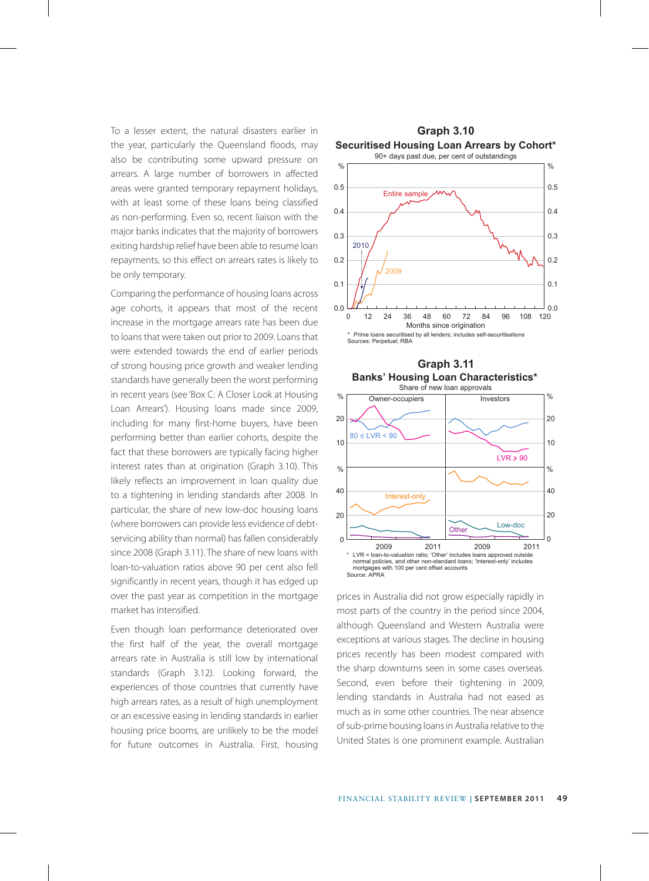To a lesser extent, the natural disasters earlier in the year, particularly the Queensland floods, may also be contributing some upward pressure on arrears. A large number of borrowers in affected areas were granted temporary repayment holidays, with at least some of these loans being classified as non-performing. Even so, recent liaison with the major banks indicates that the majority of borrowers exiting hardship relief have been able to resume loan repayments, so this effect on arrears rates is likely to be only temporary.

Comparing the performance of housing loans across age cohorts, it appears that most of the recent increase in the mortgage arrears rate has been due to loans that were taken out prior to 2009. Loans that were extended towards the end of earlier periods of strong housing price growth and weaker lending standards have generally been the worst performing in recent years (see 'Box C: A Closer Look at Housing Loan Arrears'). Housing loans made since 2009, including for many first-home buyers, have been performing better than earlier cohorts, despite the fact that these borrowers are typically facing higher interest rates than at origination (Graph 3.10). This likely reflects an improvement in loan quality due to a tightening in lending standards after 2008. In particular, the share of new low-doc housing loans (where borrowers can provide less evidence of debtservicing ability than normal) has fallen considerably since 2008 (Graph 3.11). The share of new loans with loan-to-valuation ratios above 90 per cent also fell significantly in recent years, though it has edged up over the past year as competition in the mortgage market has intensified.

Even though loan performance deteriorated over the first half of the year, the overall mortgage arrears rate in Australia is still low by international standards (Graph 3.12). Looking forward, the experiences of those countries that currently have high arrears rates, as a result of high unemployment or an excessive easing in lending standards in earlier housing price booms, are unlikely to be the model for future outcomes in Australia. First, housing









prices in Australia did not grow especially rapidly in most parts of the country in the period since 2004, although Queensland and Western Australia were exceptions at various stages. The decline in housing prices recently has been modest compared with the sharp downturns seen in some cases overseas. Second, even before their tightening in 2009, lending standards in Australia had not eased as much as in some other countries. The near absence of sub-prime housing loans in Australia relative to the United States is one prominent example. Australian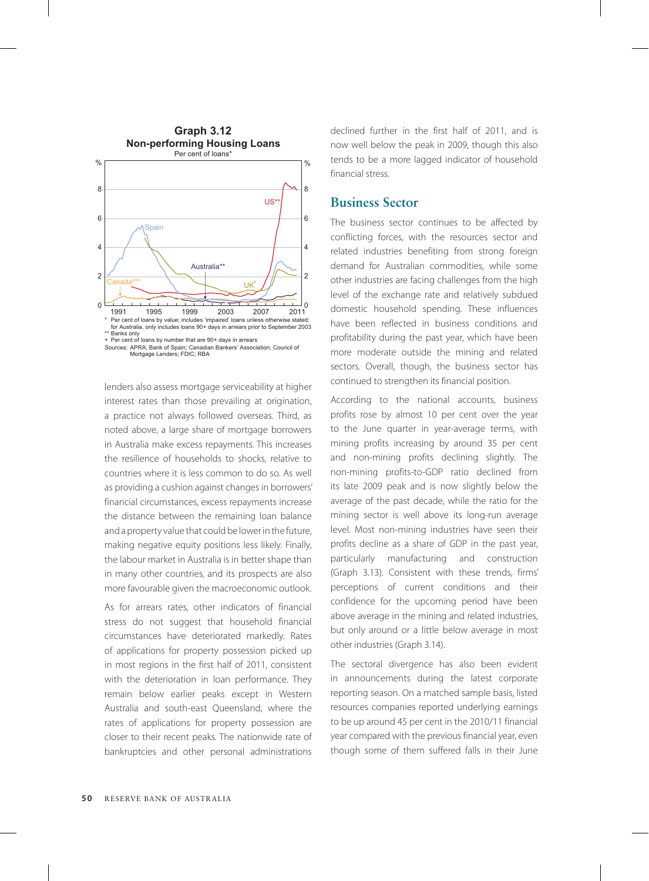

Sources: APRA; Bank of Spain; Canadian Bankers' Association; Council of Mortgage Lenders; FDIC; RBA

lenders also assess mortgage serviceability at higher interest rates than those prevailing at origination, a practice not always followed overseas. Third, as noted above, a large share of mortgage borrowers in Australia make excess repayments. This increases the resilience of households to shocks, relative to countries where it is less common to do so. As well as providing a cushion against changes in borrowers' financial circumstances, excess repayments increase the distance between the remaining loan balance and a property value that could be lower in the future, making negative equity positions less likely. Finally, the labour market in Australia is in better shape than in many other countries, and its prospects are also more favourable given the macroeconomic outlook.

As for arrears rates, other indicators of financial stress do not suggest that household financial circumstances have deteriorated markedly. Rates of applications for property possession picked up in most regions in the first half of 2011, consistent with the deterioration in loan performance. They remain below earlier peaks except in Western Australia and south-east Queensland, where the rates of applications for property possession are closer to their recent peaks. The nationwide rate of bankruptcies and other personal administrations declined further in the first half of 2011, and is now well below the peak in 2009, though this also tends to be a more lagged indicator of household financial stress.

## **Business Sector**

The business sector continues to be affected by conflicting forces, with the resources sector and related industries benefiting from strong foreign demand for Australian commodities, while some other industries are facing challenges from the high level of the exchange rate and relatively subdued domestic household spending. These influences have been reflected in business conditions and profitability during the past year, which have been more moderate outside the mining and related sectors. Overall, though, the business sector has continued to strengthen its financial position.

According to the national accounts, business profits rose by almost 10 per cent over the year to the June quarter in year-average terms, with mining profits increasing by around 35 per cent and non-mining profits declining slightly. The non-mining profits-to-GDP ratio declined from its late 2009 peak and is now slightly below the average of the past decade, while the ratio for the mining sector is well above its long-run average level. Most non-mining industries have seen their profits decline as a share of GDP in the past year, particularly manufacturing and construction (Graph 3.13). Consistent with these trends, firms' perceptions of current conditions and their confidence for the upcoming period have been above average in the mining and related industries, but only around or a little below average in most other industries (Graph 3.14).

The sectoral divergence has also been evident in announcements during the latest corporate reporting season. On a matched sample basis, listed resources companies reported underlying earnings to be up around 45 per cent in the 2010/11 financial year compared with the previous financial year, even though some of them suffered falls in their June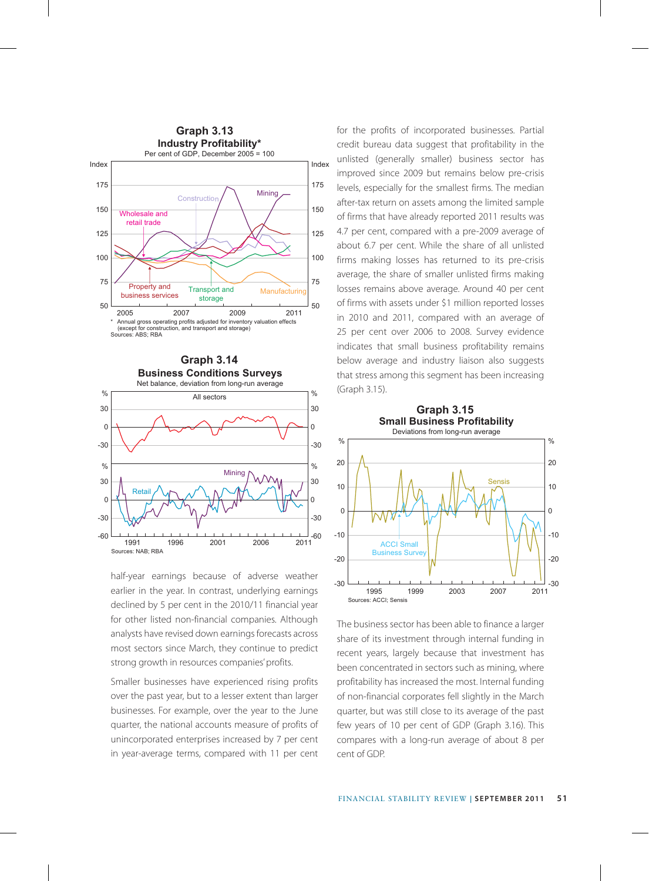



half-year earnings because of adverse weather earlier in the year. In contrast, underlying earnings declined by 5 per cent in the 2010/11 financial year for other listed non-financial companies. Although analysts have revised down earnings forecasts across most sectors since March, they continue to predict strong growth in resources companies' profits.

Smaller businesses have experienced rising profits over the past year, but to a lesser extent than larger businesses. For example, over the year to the June quarter, the national accounts measure of profits of unincorporated enterprises increased by 7 per cent in year-average terms, compared with 11 per cent for the profits of incorporated businesses. Partial credit bureau data suggest that profitability in the unlisted (generally smaller) business sector has improved since 2009 but remains below pre-crisis levels, especially for the smallest firms. The median after-tax return on assets among the limited sample of firms that have already reported 2011 results was 4.7 per cent, compared with a pre-2009 average of about 6.7 per cent. While the share of all unlisted firms making losses has returned to its pre-crisis average, the share of smaller unlisted firms making losses remains above average. Around 40 per cent of firms with assets under \$1 million reported losses in 2010 and 2011, compared with an average of 25 per cent over 2006 to 2008. Survey evidence indicates that small business profitability remains below average and industry liaison also suggests that stress among this segment has been increasing (Graph 3.15).



The business sector has been able to finance a larger share of its investment through internal funding in recent years, largely because that investment has been concentrated in sectors such as mining, where profitability has increased the most. Internal funding of non-financial corporates fell slightly in the March quarter, but was still close to its average of the past few years of 10 per cent of GDP (Graph 3.16). This compares with a long-run average of about 8 per cent of GDP.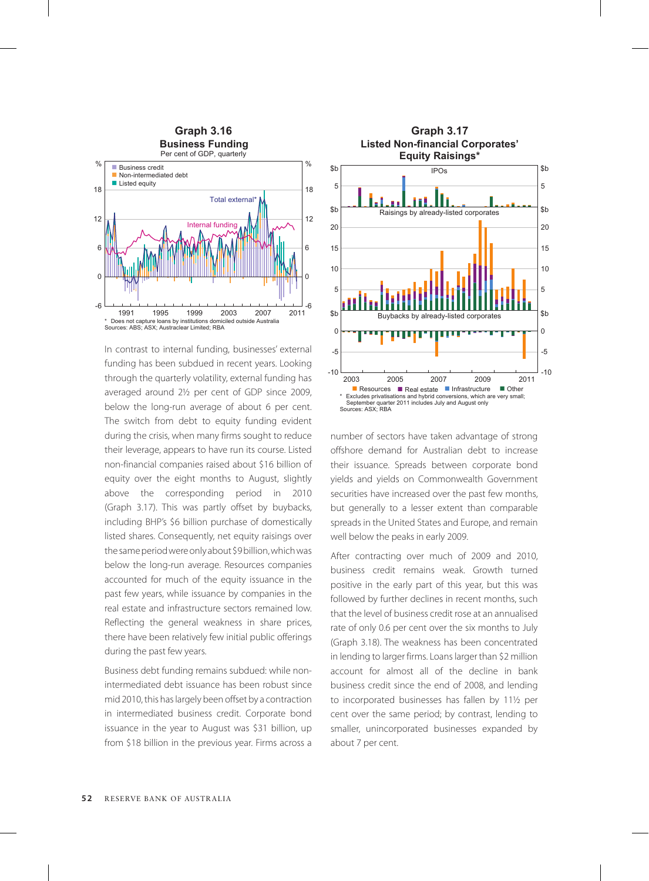

In contrast to internal funding, businesses' external funding has been subdued in recent years. Looking through the quarterly volatility, external funding has averaged around 2½ per cent of GDP since 2009, below the long-run average of about 6 per cent. The switch from debt to equity funding evident during the crisis, when many firms sought to reduce their leverage, appears to have run its course. Listed non-financial companies raised about \$16 billion of equity over the eight months to August, slightly above the corresponding period in 2010 (Graph 3.17). This was partly offset by buybacks, including BHP's \$6 billion purchase of domestically listed shares. Consequently, net equity raisings over the same period were only about \$9 billion, which was below the long-run average. Resources companies accounted for much of the equity issuance in the past few years, while issuance by companies in the real estate and infrastructure sectors remained low. Reflecting the general weakness in share prices, there have been relatively few initial public offerings during the past few years.

Business debt funding remains subdued: while nonintermediated debt issuance has been robust since mid 2010, this has largely been offset by a contraction in intermediated business credit. Corporate bond issuance in the year to August was \$31 billion, up from \$18 billion in the previous year. Firms across a



number of sectors have taken advantage of strong offshore demand for Australian debt to increase their issuance. Spreads between corporate bond yields and yields on Commonwealth Government securities have increased over the past few months, but generally to a lesser extent than comparable spreads in the United States and Europe, and remain well below the peaks in early 2009.

After contracting over much of 2009 and 2010, business credit remains weak. Growth turned positive in the early part of this year, but this was followed by further declines in recent months, such that the level of business credit rose at an annualised rate of only 0.6 per cent over the six months to July (Graph 3.18). The weakness has been concentrated in lending to larger firms. Loans larger than \$2 million account for almost all of the decline in bank business credit since the end of 2008, and lending to incorporated businesses has fallen by 11½ per cent over the same period; by contrast, lending to smaller, unincorporated businesses expanded by about 7 per cent.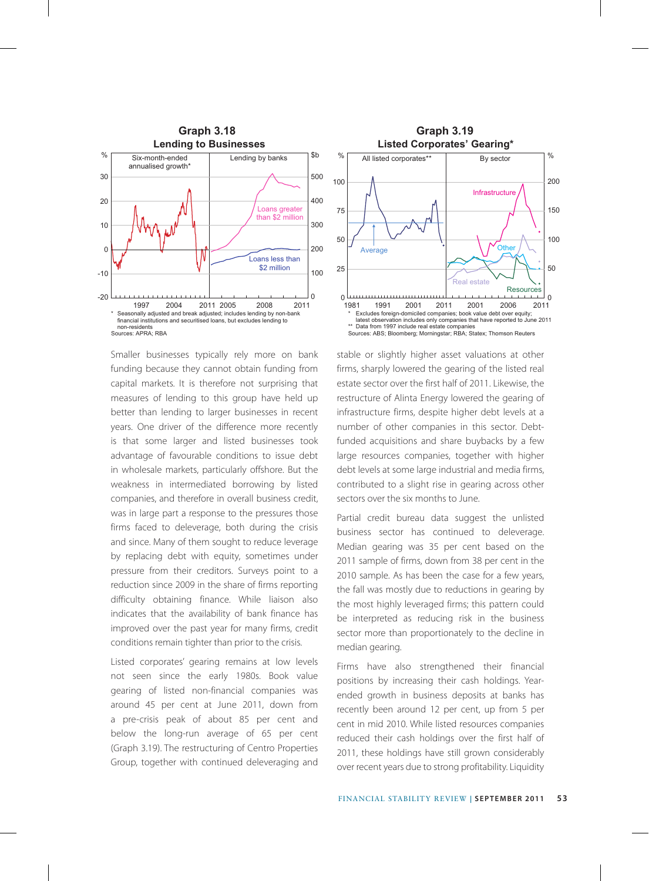

Smaller businesses typically rely more on bank funding because they cannot obtain funding from capital markets. It is therefore not surprising that measures of lending to this group have held up better than lending to larger businesses in recent years. One driver of the difference more recently is that some larger and listed businesses took advantage of favourable conditions to issue debt in wholesale markets, particularly offshore. But the weakness in intermediated borrowing by listed companies, and therefore in overall business credit, was in large part a response to the pressures those firms faced to deleverage, both during the crisis and since. Many of them sought to reduce leverage by replacing debt with equity, sometimes under pressure from their creditors. Surveys point to a reduction since 2009 in the share of firms reporting difficulty obtaining finance. While liaison also indicates that the availability of bank finance has improved over the past year for many firms, credit conditions remain tighter than prior to the crisis.

Listed corporates' gearing remains at low levels not seen since the early 1980s. Book value gearing of listed non-financial companies was around 45 per cent at June 2011, down from a pre-crisis peak of about 85 per cent and below the long-run average of 65 per cent (Graph 3.19). The restructuring of Centro Properties Group, together with continued deleveraging and



stable or slightly higher asset valuations at other firms, sharply lowered the gearing of the listed real estate sector over the first half of 2011. Likewise, the restructure of Alinta Energy lowered the gearing of infrastructure firms, despite higher debt levels at a number of other companies in this sector. Debtfunded acquisitions and share buybacks by a few large resources companies, together with higher debt levels at some large industrial and media firms, contributed to a slight rise in gearing across other sectors over the six months to June.

Partial credit bureau data suggest the unlisted business sector has continued to deleverage. Median gearing was 35 per cent based on the 2011 sample of firms, down from 38 per cent in the 2010 sample. As has been the case for a few years, the fall was mostly due to reductions in gearing by the most highly leveraged firms; this pattern could be interpreted as reducing risk in the business sector more than proportionately to the decline in median gearing.

Firms have also strengthened their financial positions by increasing their cash holdings. Yearended growth in business deposits at banks has recently been around 12 per cent, up from 5 per cent in mid 2010. While listed resources companies reduced their cash holdings over the first half of 2011, these holdings have still grown considerably over recent years due to strong profitability. Liquidity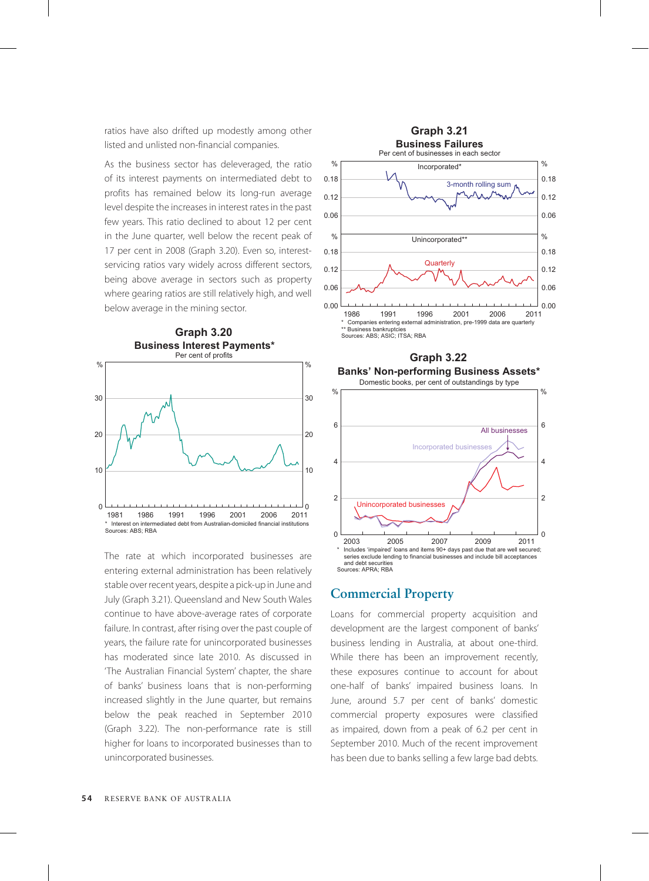ratios have also drifted up modestly among other listed and unlisted non-financial companies.

As the business sector has deleveraged, the ratio of its interest payments on intermediated debt to profits has remained below its long-run average level despite the increases in interest rates in the past few years. This ratio declined to about 12 per cent in the June quarter, well below the recent peak of 17 per cent in 2008 (Graph 3.20). Even so, interestservicing ratios vary widely across different sectors, being above average in sectors such as property where gearing ratios are still relatively high, and well below average in the mining sector.



The rate at which incorporated businesses are entering external administration has been relatively stable over recent years, despite a pick-up in June and July (Graph 3.21). Queensland and New South Wales continue to have above-average rates of corporate failure. In contrast, after rising over the past couple of years, the failure rate for unincorporated businesses has moderated since late 2010. As discussed in 'The Australian Financial System' chapter, the share of banks' business loans that is non-performing increased slightly in the June quarter, but remains below the peak reached in September 2010 (Graph 3.22). The non-performance rate is still higher for loans to incorporated businesses than to unincorporated businesses.





## **Commercial Property**

Loans for commercial property acquisition and development are the largest component of banks' business lending in Australia, at about one-third. While there has been an improvement recently, these exposures continue to account for about one-half of banks' impaired business loans. In June, around 5.7 per cent of banks' domestic commercial property exposures were classified as impaired, down from a peak of 6.2 per cent in September 2010. Much of the recent improvement has been due to banks selling a few large bad debts.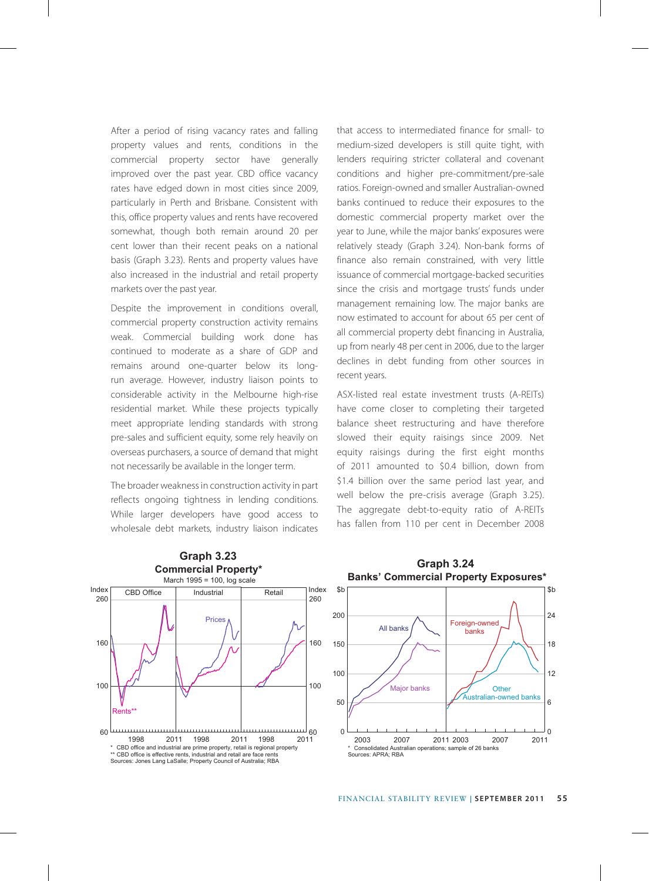After a period of rising vacancy rates and falling property values and rents, conditions in the commercial property sector have generally improved over the past year. CBD office vacancy rates have edged down in most cities since 2009, particularly in Perth and Brisbane. Consistent with this, office property values and rents have recovered somewhat, though both remain around 20 per cent lower than their recent peaks on a national basis (Graph 3.23). Rents and property values have also increased in the industrial and retail property markets over the past year.

Despite the improvement in conditions overall, commercial property construction activity remains weak. Commercial building work done has continued to moderate as a share of GDP and remains around one-quarter below its longrun average. However, industry liaison points to considerable activity in the Melbourne high-rise residential market. While these projects typically meet appropriate lending standards with strong pre-sales and sufficient equity, some rely heavily on overseas purchasers, a source of demand that might not necessarily be available in the longer term.

The broader weakness in construction activity in part reflects ongoing tightness in lending conditions. While larger developers have good access to wholesale debt markets, industry liaison indicates that access to intermediated finance for small- to medium-sized developers is still quite tight, with lenders requiring stricter collateral and covenant conditions and higher pre-commitment/pre-sale ratios. Foreign-owned and smaller Australian-owned banks continued to reduce their exposures to the domestic commercial property market over the year to June, while the major banks' exposures were relatively steady (Graph 3.24). Non-bank forms of finance also remain constrained, with very little issuance of commercial mortgage-backed securities since the crisis and mortgage trusts' funds under management remaining low. The major banks are now estimated to account for about 65 per cent of all commercial property debt financing in Australia, up from nearly 48 per cent in 2006, due to the larger declines in debt funding from other sources in recent years.

ASX-listed real estate investment trusts (A-REITs) have come closer to completing their targeted balance sheet restructuring and have therefore slowed their equity raisings since 2009. Net equity raisings during the first eight months of 2011 amounted to \$0.4 billion, down from \$1.4 billion over the same period last year, and well below the pre-crisis average (Graph 3.25). The aggregate debt-to-equity ratio of A-REITs has fallen from 110 per cent in December 2008